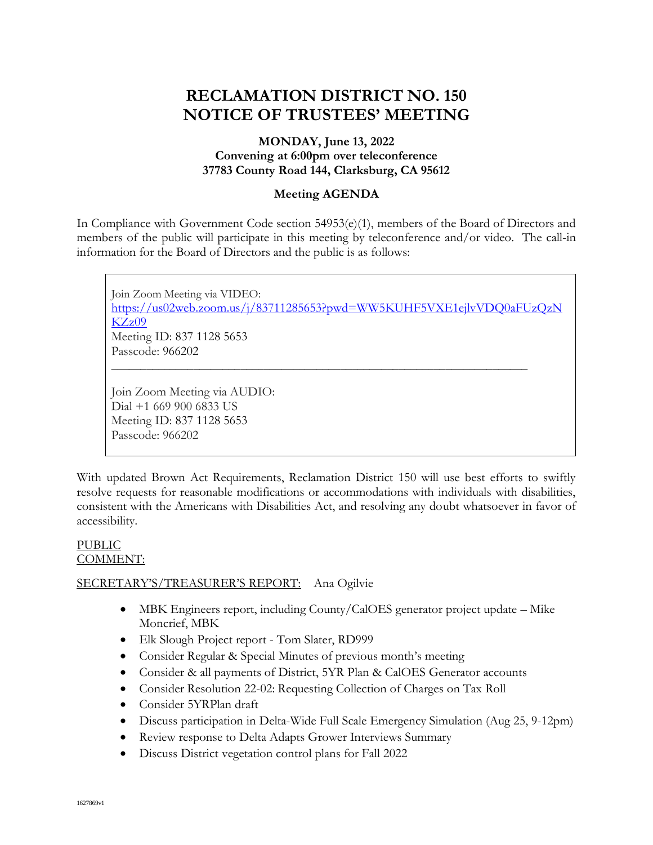# **RECLAMATION DISTRICT NO. 150 NOTICE OF TRUSTEES' MEETING**

# **MONDAY, June 13, 2022 Convening at 6:00pm over teleconference 37783 County Road 144, Clarksburg, CA 95612**

## **Meeting AGENDA**

In Compliance with Government Code section 54953(e)(1), members of the Board of Directors and members of the public will participate in this meeting by teleconference and/or video. The call-in information for the Board of Directors and the public is as follows:

Join Zoom Meeting via VIDEO: [https://us02web.zoom.us/j/83711285653?pwd=WW5KUHF5VXE1ejlvVDQ0aFUzQzN](https://us02web.zoom.us/j/83711285653?pwd=WW5KUHF5VXE1ejlvVDQ0aFUzQzNKZz09) [KZz09](https://us02web.zoom.us/j/83711285653?pwd=WW5KUHF5VXE1ejlvVDQ0aFUzQzNKZz09) Meeting ID: 837 1128 5653 Passcode: 966202 \_\_\_\_\_\_\_\_\_\_\_\_\_\_\_\_\_\_\_\_\_\_\_\_\_\_\_\_\_\_\_\_\_\_\_\_\_\_\_\_\_\_\_\_\_\_\_\_\_\_\_\_\_\_\_\_\_\_\_\_\_\_\_\_\_\_\_\_\_\_\_ Join Zoom Meeting via AUDIO:

Dial +1 669 900 6833 US Meeting ID: 837 1128 5653 Passcode: 966202

With updated Brown Act Requirements, Reclamation District 150 will use best efforts to swiftly resolve requests for reasonable modifications or accommodations with individuals with disabilities, consistent with the Americans with Disabilities Act, and resolving any doubt whatsoever in favor of accessibility.

## PUBLIC COMMENT:

# SECRETARY'S/TREASURER'S REPORT: Ana Ogilvie

- MBK Engineers report, including County/CalOES generator project update Mike Moncrief, MBK
- Elk Slough Project report Tom Slater, RD999
- Consider Regular & Special Minutes of previous month's meeting
- Consider & all payments of District, 5YR Plan & CalOES Generator accounts
- Consider Resolution 22-02: Requesting Collection of Charges on Tax Roll
- Consider 5YRPlan draft
- Discuss participation in Delta-Wide Full Scale Emergency Simulation (Aug 25, 9-12pm)
- Review response to Delta Adapts Grower Interviews Summary
- Discuss District vegetation control plans for Fall 2022